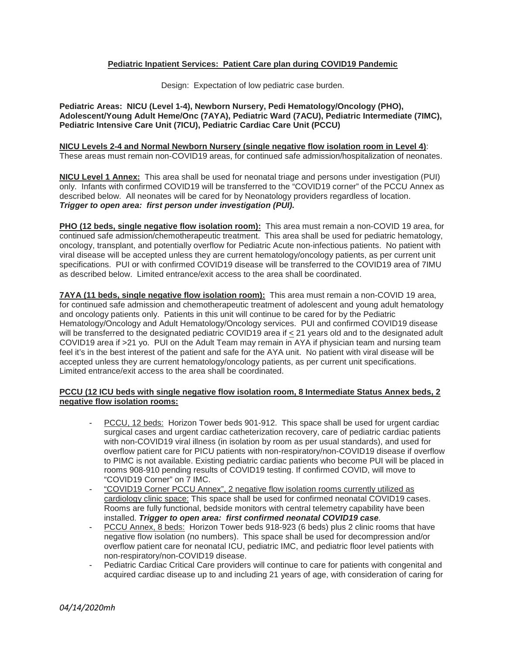# **Pediatric Inpatient Services: Patient Care plan during COVID19 Pandemic**

Design: Expectation of low pediatric case burden.

 **Pediatric Areas: NICU (Level 1-4), Newborn Nursery, Pedi Hematology/Oncology (PHO), Adolescent/Young Adult Heme/Onc (7AYA), Pediatric Ward (7ACU), Pediatric Intermediate (7IMC), Pediatric Intensive Care Unit (7ICU), Pediatric Cardiac Care Unit (PCCU)** 

# **NICU Levels 2-4 and Normal Newborn Nursery (single negative flow isolation room in Level 4)**: These areas must remain non-COVID19 areas, for continued safe admission/hospitalization of neonates.

 **NICU Level 1 Annex:** This area shall be used for neonatal triage and persons under investigation (PUI) only. Infants with confirmed COVID19 will be transferred to the "COVID19 corner" of the PCCU Annex as described below. All neonates will be cared for by Neonatology providers regardless of location.  *Trigger to open area: first person under investigation (PUI).* 

 **PHO (12 beds, single negative flow isolation room):** This area must remain a non-COVID 19 area, for continued safe admission/chemotherapeutic treatment. This area shall be used for pediatric hematology, oncology, transplant, and potentially overflow for Pediatric Acute non-infectious patients. No patient with viral disease will be accepted unless they are current hematology/oncology patients, as per current unit specifications. PUI or with confirmed COVID19 disease will be transferred to the COVID19 area of 7IMU as described below. Limited entrance/exit access to the area shall be coordinated.

 **7AYA (11 beds, single negative flow isolation room):** This area must remain a non-COVID 19 area, for continued safe admission and chemotherapeutic treatment of adolescent and young adult hematology and oncology patients only. Patients in this unit will continue to be cared for by the Pediatric Hematology/Oncology and Adult Hematology/Oncology services. PUI and confirmed COVID19 disease will be transferred to the designated pediatric COVID19 area if  $\leq$  21 years old and to the designated adult COVID19 area if >21 yo. PUI on the Adult Team may remain in AYA if physician team and nursing team feel it's in the best interest of the patient and safe for the AYA unit. No patient with viral disease will be accepted unless they are current hematology/oncology patients, as per current unit specifications. Limited entrance/exit access to the area shall be coordinated.

# **PCCU (12 ICU beds with single negative flow isolation room, 8 Intermediate Status Annex beds, 2 negative flow isolation rooms:**

- PCCU, 12 beds: Horizon Tower beds 901-912. This space shall be used for urgent cardiac surgical cases and urgent cardiac catheterization recovery, care of pediatric cardiac patients with non-COVID19 viral illness (in isolation by room as per usual standards), and used for overflow patient care for PICU patients with non-respiratory/non-COVID19 disease if overflow to PIMC is not available. Existing pediatric cardiac patients who become PUI will be placed in rooms 908-910 pending results of COVID19 testing. If confirmed COVID, will move to "COVID19 Corner" on 7 IMC.
- - "COVID19 Corner PCCU Annex", 2 negative flow isolation rooms currently utilized as cardiology clinic space: This space shall be used for confirmed neonatal COVID19 cases. Rooms are fully functional, bedside monitors with central telemetry capability have been  installed. *Trigger to open area: first confirmed neonatal COVID19 case*.
- PCCU Annex, 8 beds: Horizon Tower beds 918-923 (6 beds) plus 2 clinic rooms that have negative flow isolation (no numbers). This space shall be used for decompression and/or overflow patient care for neonatal ICU, pediatric IMC, and pediatric floor level patients with non-respiratory/non-COVID19 disease.
- - Pediatric Cardiac Critical Care providers will continue to care for patients with congenital and acquired cardiac disease up to and including 21 years of age, with consideration of caring for